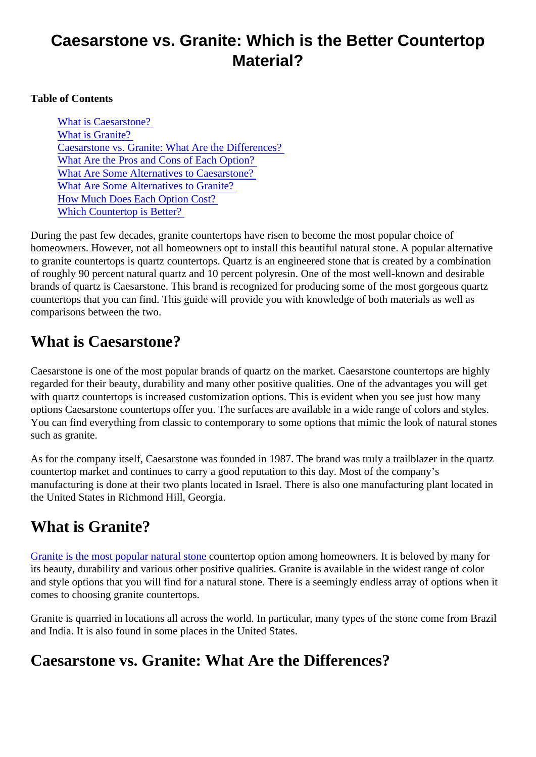#### Caesarstone vs. Granite: Which is the Better Countertop Material?

Table of Contents

What is Caesarstone? What is Granite? Caesarstone vs. Granite: What Are the Differences? [What Are the Pros and Cons of Each Opti](#page-1-0)on? [What Are Some Alternatives to Caesarsto](#page-2-0)ne? [What Are Some Alternatives to Granit](#page-2-0)e? [How Much Does Each Option Cos](#page-2-0)t? [Which Countertop is Better](#page-2-0)?

During the past few decades, granite countertops have risen to become the most popular choice of homeowners. However, not all homeowners opt to install this beautiful natural stone. A popular alternative to granite countertops is quartz countertops. Quartz is an engineered stone that is created by a combination of roughly 90 percent natural quartz and 10 percent polyresin. One of the most well-known and desirable brands of quartz is Caesarstone. This brand is recognized for producing some of the most gorgeous quart countertops that you can find. This guide will provide you with knowledge of both materials as well as comparisons between the two.

#### What is Caesarstone?

Caesarstone is one of the most popular brands of quartz on the market. Caesarstone countertops are high regarded for their beauty, durability and many other positive qualities. One of the advantages you will get with quartz countertops is increased customization options. This is evident when you see just how many options Caesarstone countertops offer you. The surfaces are available in a wide range of colors and styles. You can find everything from classic to contemporary to some options that mimic the look of natural stone such as granite.

As for the company itself, Caesarstone was founded in 1987. The brand was truly a trailblazer in the quart countertop market and continues to carry a good reputation to this day. Most of the company's manufacturing is done at their two plants located in Israel. There is also one manufacturing plant located in the United States in Richmond Hill, Georgia.

## What is Granite?

[Granite is the most popular natural sto](https://marble.com/granite-countertops)pentertop option among homeowners. It is beloved by many for its beauty, durability and various other positive qualities. Granite is available in the widest range of color and style options that you will find for a natural stone. There is a seemingly endless array of options when comes to choosing granite countertops.

Granite is quarried in locations all across the world. In particular, many types of the stone come from Braz and India. It is also found in some places in the United States.

# Caesarstone vs. Granite: What Are the Differences?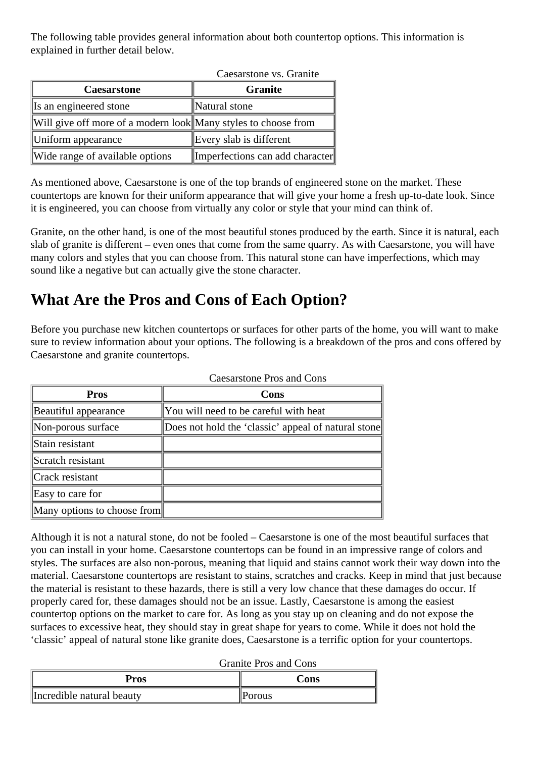<span id="page-1-0"></span>The following table provides general information about both countertop options. This information is explained in further detail below.

| Caesarstone vs. Granite                                        |                                 |
|----------------------------------------------------------------|---------------------------------|
| <b>Caesarstone</b>                                             | <b>Granite</b>                  |
| Is an engineered stone                                         | Natural stone                   |
| Will give off more of a modern look Many styles to choose from |                                 |
| Uniform appearance                                             | Every slab is different         |
| Wide range of available options                                | Imperfections can add character |

As mentioned above, Caesarstone is one of the top brands of engineered stone on the market. These countertops are known for their uniform appearance that will give your home a fresh up-to-date look. Since it is engineered, you can choose from virtually any color or style that your mind can think of.

Granite, on the other hand, is one of the most beautiful stones produced by the earth. Since it is natural, each slab of granite is different – even ones that come from the same quarry. As with Caesarstone, you will have many colors and styles that you can choose from. This natural stone can have imperfections, which may sound like a negative but can actually give the stone character.

## **What Are the Pros and Cons of Each Option?**

Before you purchase new kitchen countertops or surfaces for other parts of the home, you will want to make sure to review information about your options. The following is a breakdown of the pros and cons offered by Caesarstone and granite countertops.

| Cacsarsione 1 ros and Cons  |                                                     |
|-----------------------------|-----------------------------------------------------|
| <b>Pros</b>                 | Cons                                                |
| Beautiful appearance        | You will need to be careful with heat               |
| Non-porous surface          | Does not hold the 'classic' appeal of natural stone |
| Stain resistant             |                                                     |
| Scratch resistant           |                                                     |
| Crack resistant             |                                                     |
| Easy to care for            |                                                     |
| Many options to choose from |                                                     |

Caesarstone Pros and Cons

Although it is not a natural stone, do not be fooled – Caesarstone is one of the most beautiful surfaces that you can install in your home. Caesarstone countertops can be found in an impressive range of colors and styles. The surfaces are also non-porous, meaning that liquid and stains cannot work their way down into the material. Caesarstone countertops are resistant to stains, scratches and cracks. Keep in mind that just because the material is resistant to these hazards, there is still a very low chance that these damages do occur. If properly cared for, these damages should not be an issue. Lastly, Caesarstone is among the easiest countertop options on the market to care for. As long as you stay up on cleaning and do not expose the surfaces to excessive heat, they should stay in great shape for years to come. While it does not hold the 'classic' appeal of natural stone like granite does, Caesarstone is a terrific option for your countertops.

| <b>Pros</b>               | Cons    |
|---------------------------|---------|
| Incredible natural beauty | ⊪Porous |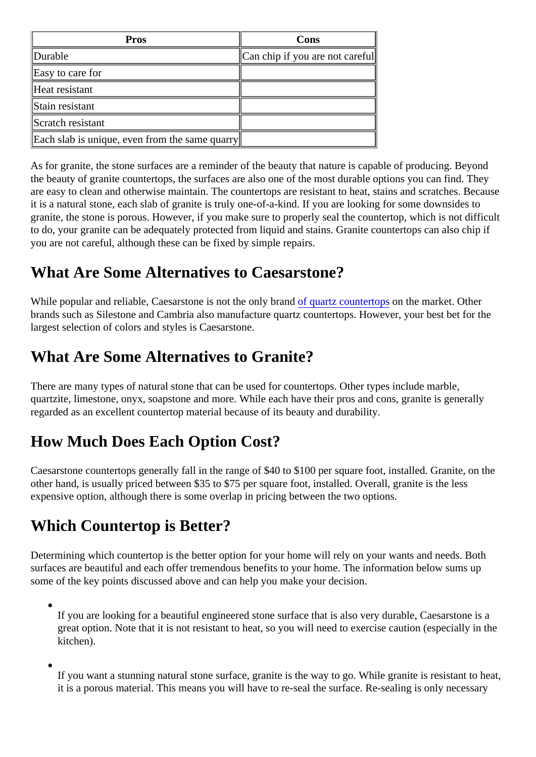<span id="page-2-0"></span>

| Pros                                           | Cons                             |
|------------------------------------------------|----------------------------------|
| Durable                                        | ∥Can chip if you are not care∦ul |
| Easy to care for                               |                                  |
| Heat resistant                                 |                                  |
| Stain resistant                                |                                  |
| Scratch resistant                              |                                  |
| Each slab is unique, even from the same quarry |                                  |

As for granite, the stone surfaces are a reminder of the beauty that nature is capable of producing. Beyong the beauty of granite countertops, the surfaces are also one of the most durable options you can find. The are easy to clean and otherwise maintain. The countertops are resistant to heat, stains and scratches. Bee it is a natural stone, each slab of granite is truly one-of-a-kind. If you are looking for some downsides to granite, the stone is porous. However, if you make sure to properly seal the countertop, which is not difficu to do, your granite can be adequately protected from liquid and stains. Granite countertops can also chip if you are not careful, although these can be fixed by simple repairs.

# What Are Some Alternatives to Caesarstone?

Whilepopular and reliable, Caesarstone is not the only brand artz countertops the market. Other brands such as Silestone and Cambria also manufacture quartz countertops. However, your best bet for the largest selection of colors and styles is Caesarstone.

#### What Are Some Alternatives to Granite?

There are many types of natural stone that can be used for countertops. Other types include marble, quartzite, limestone, onyx, soapstone and more. While each have their pros and cons, granite is generally regarded as an excellent countertop material because of its beauty and durability.

# How Much Does Each Option Cost?

Caesarstone countertops generally fall in the range of \$40 to \$100 per square foot, installed. Granite, on the other hand, is usually priced between \$35 to \$75 per square foot, installed. Overall, granite is the less expensive option, although there is some overlap in pricing between the two options.

## Which Countertop is Better?

Determining which countertop is the better option for your home will rely on your wants and needs. Both surfaces are beautiful and each offer tremendous benefits to your home. The information below sums up some of the key points discussed above and can help you make your decision.

If you are looking for a beautiful engineered stone surface that is also very durable, Caesarstone is a great option. Note that it is not resistant to heat, so you will need to exercise caution (especially in the kitchen).

If you want a stunning natural stone surface, granite is the way to go. While granite is resistant to he it is a porous material. This means you will have to re-seal the surface. Re-sealing is only necessary